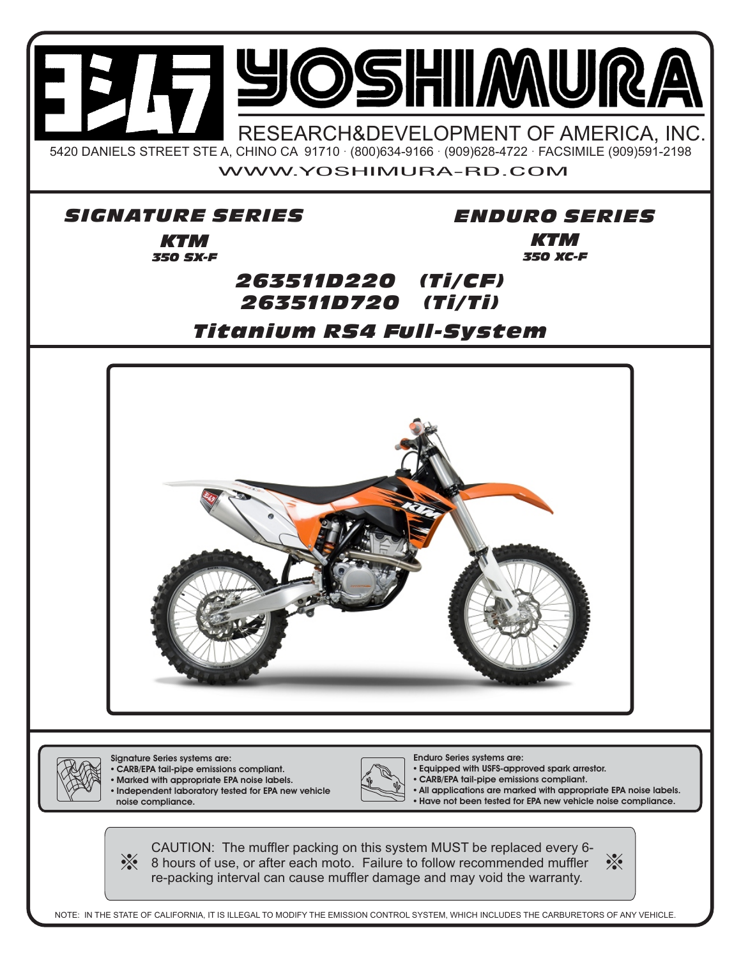

Signature Series systems are: **•** CARB/EPA tail-pipe emissions compliant.

- **•** Marked with appropriate EPA noise labels.
- **•** Independent laboratory tested for EPA new vehicle noise compliance.



Enduro Series systems are:

**•** Equipped with USFS-approved spark arrestor.

**•** CARB/EPA tail-pipe emissions compliant.

**•** All applications are marked with appropriate EPA noise labels. **•** Have not been tested for EPA new vehicle noise compliance.

CAUTION: The muffler packing on this system MUST be replaced every 6-  $\frac{1}{2}$ 8 hours of use, or after each moto. Failure to follow recommended muffler re-packing interval can cause muffler damage and may void the warranty.

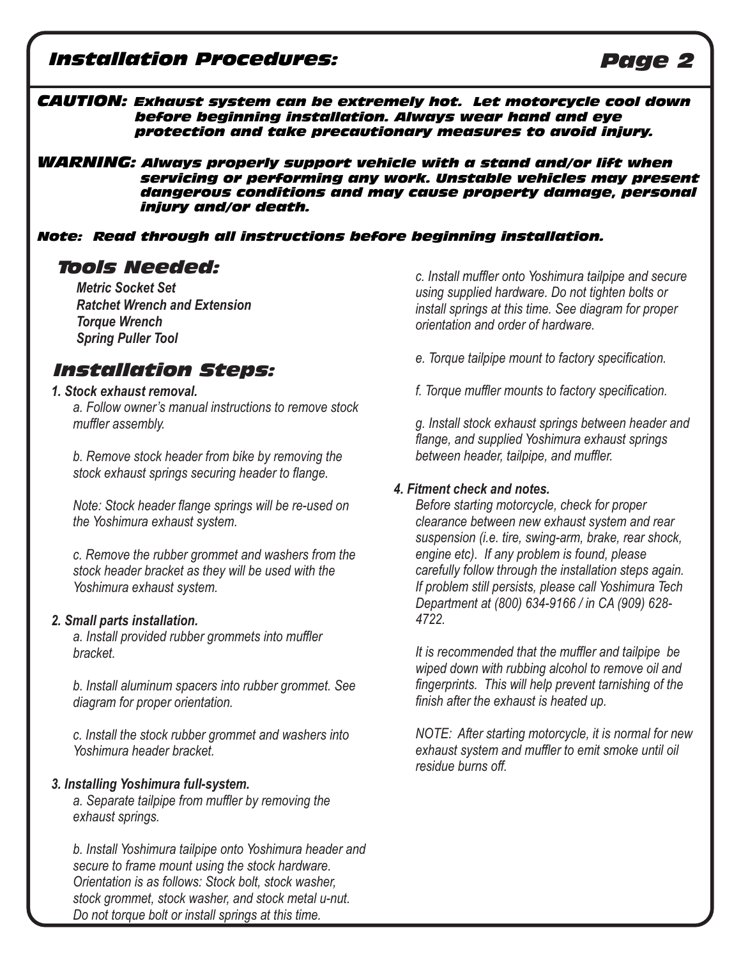# *Installation Procedures: Page 2*

#### *CAUTION: Exhaust system can be extremely hot. Let motorcycle cool down before beginning installation. Always wear hand and eye protection and take precautionary measures to avoid injury.*

*WARNING: Always properly support vehicle with a stand and/or lift when servicing or performing any work. Unstable vehicles may present dangerous conditions and may cause property damage, personal injury and/or death.* 

#### *Note: Read through all instructions before beginning installation.*

*Metric Socket Set Ratchet Wrench and Extension Torque Wrench Spring Puller Tool*

## *Installation Steps:*

#### *1. Stock exhaust removal.*

*a. Follow owner's manual instructions to remove stock muffler assembly.* 

*b. Remove stock header from bike by removing the stock exhaust springs securing header to flange.* 

*Note: Stock header flange springs will be re-used on the Yoshimura exhaust system.* 

*c. Remove the rubber grommet and washers from the stock header bracket as they will be used with the Yoshimura exhaust system.* 

#### *2. Small parts installation.*

*a. Install provided rubber grommets into muffler bracket.* 

*b. Install aluminum spacers into rubber grommet. See diagram for proper orientation.* 

*c. Install the stock rubber grommet and washers into Yoshimura header bracket.* 

#### *3. Installing Yoshimura full-system.*

*a. Separate tailpipe from muffler by removing the exhaust springs.*

*b. Install Yoshimura tailpipe onto Yoshimura header and secure to frame mount using the stock hardware. Orientation is as follows: Stock bolt, stock washer, stock grommet, stock washer, and stock metal u-nut. Do not torque bolt or install springs at this time.* 

*Tools Needed: c. Install muffler onto Yoshimura tailpipe and secure using supplied hardware. Do not tighten bolts or install springs at this time. See diagram for proper orientation and order of hardware.*

- *e. Torque tailpipe mount to factory specification.*
- *f. Torque muffler mounts to factory specification.*

*g. Install stock exhaust springs between header and flange, and supplied Yoshimura exhaust springs between header, tailpipe, and muffler.* 

#### *4. Fitment check and notes.*

*Before starting motorcycle, check for proper clearance between new exhaust system and rear suspension (i.e. tire, swing-arm, brake, rear shock, engine etc). If any problem is found, please carefully follow through the installation steps again. If problem still persists, please call Yoshimura Tech Department at (800) 634-9166 / in CA (909) 628- 4722.*

*It is recommended that the muffler and tailpipe be wiped down with rubbing alcohol to remove oil and fingerprints. This will help prevent tarnishing of the finish after the exhaust is heated up.*

*NOTE: After starting motorcycle, it is normal for new exhaust system and muffler to emit smoke until oil residue burns off.*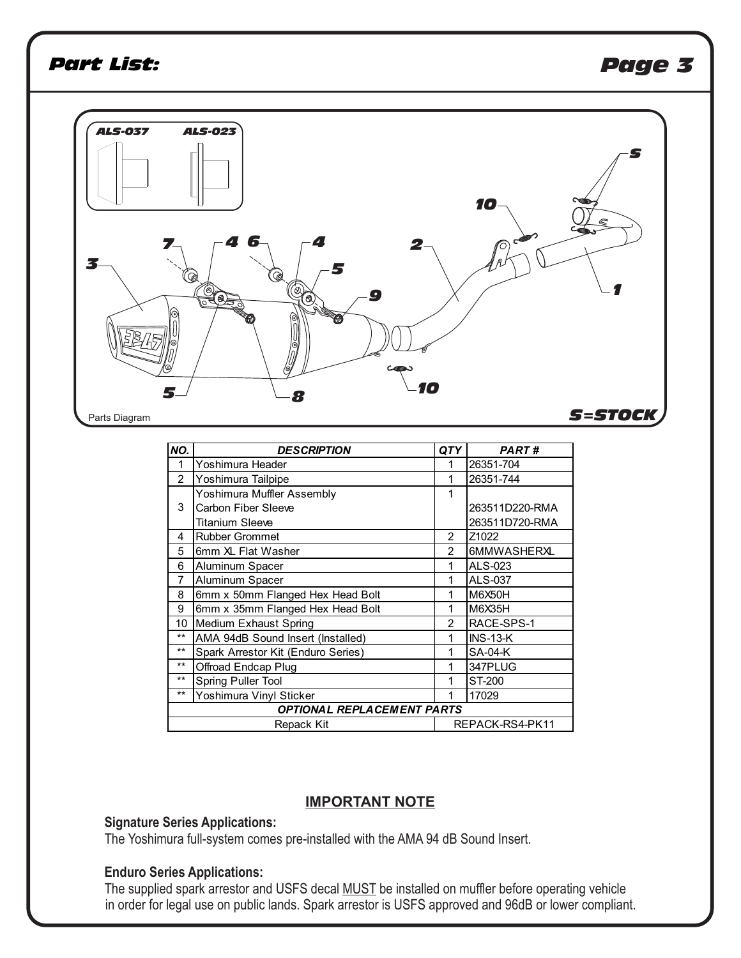# *Part List: Page 3*



| NO.                               | <b>DESCRIPTION</b>                 | QTY            | <b>PART#</b>      |  |  |
|-----------------------------------|------------------------------------|----------------|-------------------|--|--|
| 1                                 | Yoshimura Header                   | 1              | 26351-704         |  |  |
| $\overline{c}$                    | Yoshimura Tailpipe                 | 1              | 26351-744         |  |  |
| 3                                 | Yoshimura Muffler Assembly         | 1              |                   |  |  |
|                                   | Carbon Fiber Sleeve                |                | 263511D220-RMA    |  |  |
|                                   | <b>Titanium Sleeve</b>             |                | 263511D720-RMA    |  |  |
| 4                                 | <b>Rubber Grommet</b>              | $\mathcal{P}$  | Z <sub>1022</sub> |  |  |
| 5                                 | 6mm XL Flat Washer                 | $\mathcal{P}$  | 6MMWASHERXL       |  |  |
| 6                                 | Aluminum Spacer                    | 1              | ALS-023           |  |  |
| 7                                 | Aluminum Spacer                    | 1              | ALS-037           |  |  |
| 8                                 | 6mm x 50mm Flanged Hex Head Bolt   | 1              | <b>M6X50H</b>     |  |  |
| 9                                 | 6mm x 35mm Flanged Hex Head Bolt   | 1              | M6X35H            |  |  |
| 10                                | Medium Exhaust Spring              | $\mathfrak{p}$ | RACE-SPS-1        |  |  |
| $**$                              | AMA 94dB Sound Insert (Installed)  | 1              | $INS-13-K$        |  |  |
| $**$                              | Spark Arrestor Kit (Enduro Series) | 1              | <b>SA-04-K</b>    |  |  |
| $***$                             | Offroad Endcap Plug                | 1              | 347PLUG           |  |  |
| $***$                             | Spring Puller Tool                 | 1              | ST-200            |  |  |
| $***$                             | Yoshimura Vinyl Sticker            |                | 17029             |  |  |
| <b>OPTIONAL REPLACEMENT PARTS</b> |                                    |                |                   |  |  |
|                                   | Repack Kit                         |                | REPACK-RS4-PK11   |  |  |

#### **IMPORTANT NOTE**

### **Signature Series Applications:**

The Yoshimura full-system comes pre-installed with the AMA 94 dB Sound Insert.

#### **Enduro Series Applications:**

The supplied spark arrestor and USFS decal MUST be installed on muffler before operating vehicle in order for legal use on public lands. Spark arrestor is USFS approved and 96dB or lower compliant.